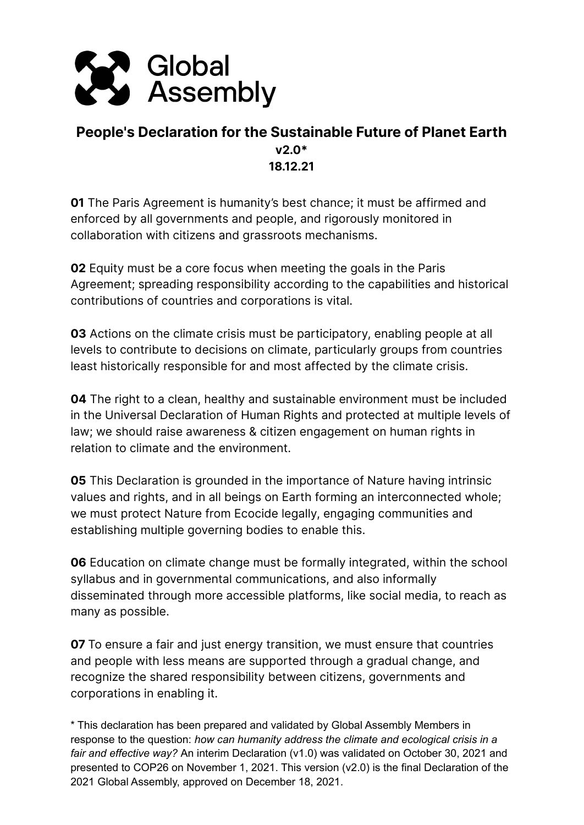

## **People's Declaration for the Sustainable Future of Planet Earth v2.0\* 18.12.21**

**01** The Paris Agreement is humanity's best chance; it must be affirmed and enforced by all governments and people, and rigorously monitored in collaboration with citizens and grassroots mechanisms.

**02** Equity must be a core focus when meeting the goals in the Paris Agreement; spreading responsibility according to the capabilities and historical contributions of countries and corporations is vital.

**03** Actions on the climate crisis must be participatory, enabling people at all levels to contribute to decisions on climate, particularly groups from countries least historically responsible for and most affected by the climate crisis.

**04** The right to a clean, healthy and sustainable environment must be included in the Universal Declaration of Human Rights and protected at multiple levels of law; we should raise awareness & citizen engagement on human rights in relation to climate and the environment.

**05** This Declaration is grounded in the importance of Nature having intrinsic values and rights, and in all beings on Earth forming an interconnected whole; we must protect Nature from Ecocide legally, engaging communities and establishing multiple governing bodies to enable this.

**06** Education on climate change must be formally integrated, within the school syllabus and in governmental communications, and also informally disseminated through more accessible platforms, like social media, to reach as many as possible.

**07** To ensure a fair and just energy transition, we must ensure that countries and people with less means are supported through a gradual change, and recognize the shared responsibility between citizens, governments and corporations in enabling it.

\* This declaration has been prepared and validated by Global Assembly Members in response to the question: *how can humanity address the climate and ecological crisis in a fair and effective way?* An interim Declaration (v1.0) was validated on October 30, 2021 and presented to COP26 on November 1, 2021. This version (v2.0) is the final Declaration of the 2021 Global Assembly, approved on December 18, 2021.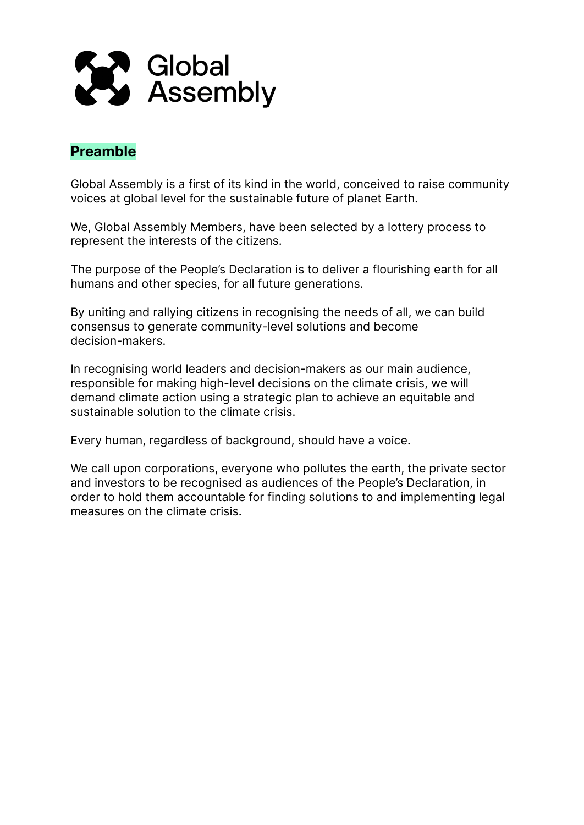

## **Preamble**

Global Assembly is a first of its kind in the world, conceived to raise community voices at global level for the sustainable future of planet Earth.

We, Global Assembly Members, have been selected by a lottery process to represent the interests of the citizens.

The purpose of the People's Declaration is to deliver a flourishing earth for all humans and other species, for all future generations.

By uniting and rallying citizens in recognising the needs of all, we can build consensus to generate community-level solutions and become decision-makers.

In recognising world leaders and decision-makers as our main audience, responsible for making high-level decisions on the climate crisis, we will demand climate action using a strategic plan to achieve an equitable and sustainable solution to the climate crisis.

Every human, regardless of background, should have a voice.

We call upon corporations, everyone who pollutes the earth, the private sector and investors to be recognised as audiences of the People's Declaration, in order to hold them accountable for finding solutions to and implementing legal measures on the climate crisis.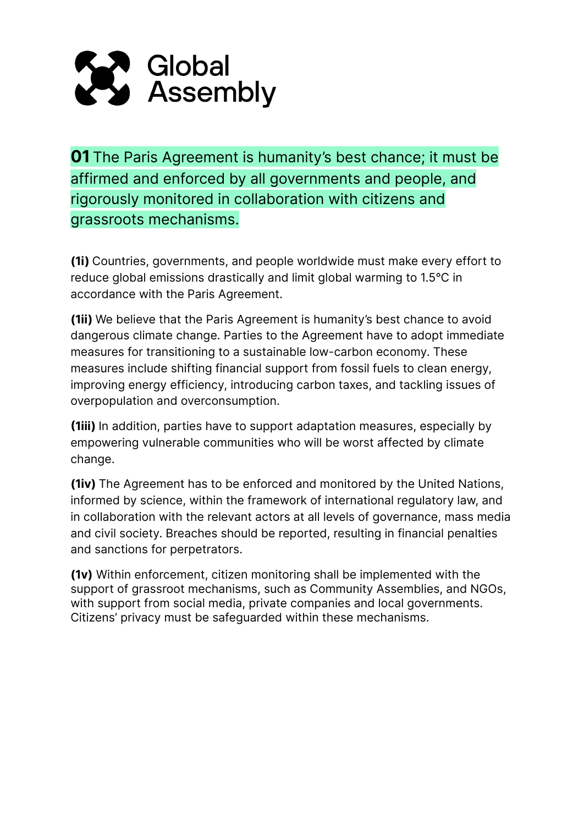

**01** The Paris Agreement is humanity's best chance; it must be affirmed and enforced by all governments and people, and rigorously monitored in collaboration with citizens and grassroots mechanisms.

**(1i)** Countries, governments, and people worldwide must make every effort to reduce global emissions drastically and limit global warming to 1.5°C in accordance with the Paris Agreement.

**(1ii)** We believe that the Paris Agreement is humanity's best chance to avoid dangerous climate change. Parties to the Agreement have to adopt immediate measures for transitioning to a sustainable low-carbon economy. These measures include shifting financial support from fossil fuels to clean energy, improving energy efficiency, introducing carbon taxes, and tackling issues of overpopulation and overconsumption.

**(1iii)** In addition, parties have to support adaptation measures, especially by empowering vulnerable communities who will be worst affected by climate change.

**(1iv)** The Agreement has to be enforced and monitored by the United Nations, informed by science, within the framework of international regulatory law, and in collaboration with the relevant actors at all levels of governance, mass media and civil society. Breaches should be reported, resulting in financial penalties and sanctions for perpetrators.

**(1v)** Within enforcement, citizen monitoring shall be implemented with the support of grassroot mechanisms, such as Community Assemblies, and NGOs, with support from social media, private companies and local governments. Citizens' privacy must be safeguarded within these mechanisms.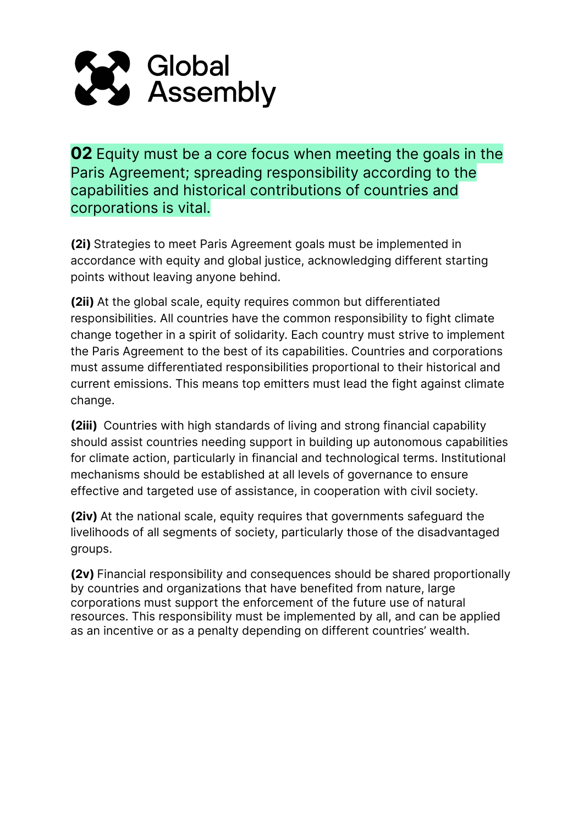

**02** Equity must be a core focus when meeting the goals in the Paris Agreement; spreading responsibility according to the capabilities and historical contributions of countries and corporations is vital.

**(2i)** Strategies to meet Paris Agreement goals must be implemented in accordance with equity and global justice, acknowledging different starting points without leaving anyone behind.

**(2ii)** At the global scale, equity requires common but differentiated responsibilities. All countries have the common responsibility to fight climate change together in a spirit of solidarity. Each country must strive to implement the Paris Agreement to the best of its capabilities. Countries and corporations must assume differentiated responsibilities proportional to their historical and current emissions. This means top emitters must lead the fight against climate change.

**(2iii)** Countries with high standards of living and strong financial capability should assist countries needing support in building up autonomous capabilities for climate action, particularly in financial and technological terms. Institutional mechanisms should be established at all levels of governance to ensure effective and targeted use of assistance, in cooperation with civil society.

**(2iv)** At the national scale, equity requires that governments safeguard the livelihoods of all segments of society, particularly those of the disadvantaged groups.

**(2v)** Financial responsibility and consequences should be shared proportionally by countries and organizations that have benefited from nature, large corporations must support the enforcement of the future use of natural resources. This responsibility must be implemented by all, and can be applied as an incentive or as a penalty depending on different countries' wealth.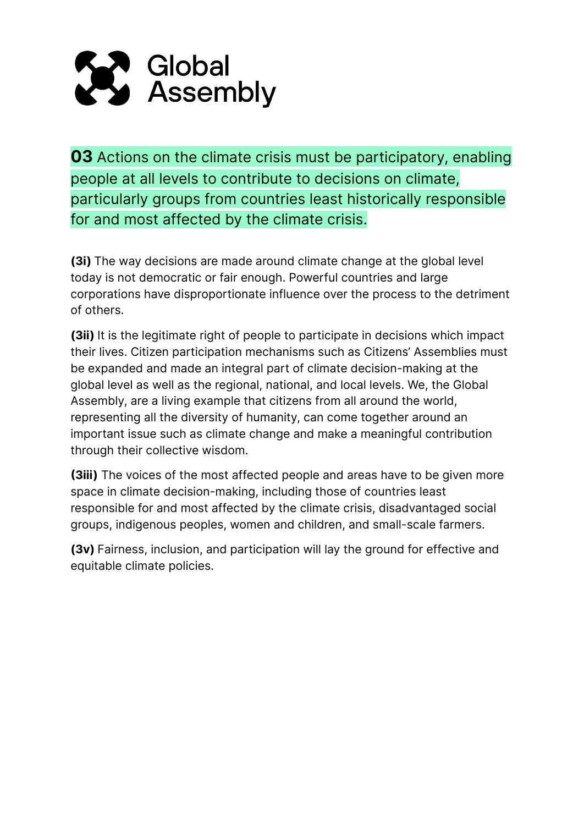

**03** Actions on the climate crisis must be participatory, enabling people at all levels to contribute to decisions on climate, particularly groups from countries least historically responsible for and most affected by the climate crisis.

**(3i)** The way decisions are made around climate change at the global level today is not democratic or fair enough. Powerful countries and large corporations have disproportionate influence over the process to the detriment of others.

**(3ii)** It is the legitimate right of people to participate in decisions which impact their lives. Citizen participation mechanisms such as Citizens' Assemblies must be expanded and made an integral part of climate decision-making at the global level as well as the regional, national, and local levels. We, the Global Assembly, are a living example that citizens from all around the world, representing all the diversity of humanity, can come together around an important issue such as climate change and make a meaningful contribution through their collective wisdom.

**(3iii)** The voices of the most affected people and areas have to be given more space in climate decision-making, including those of countries least responsible for and most affected by the climate crisis, disadvantaged social groups, indigenous peoples, women and children, and small-scale farmers.

**(3v)** Fairness, inclusion, and participation will lay the ground for effective and equitable climate policies.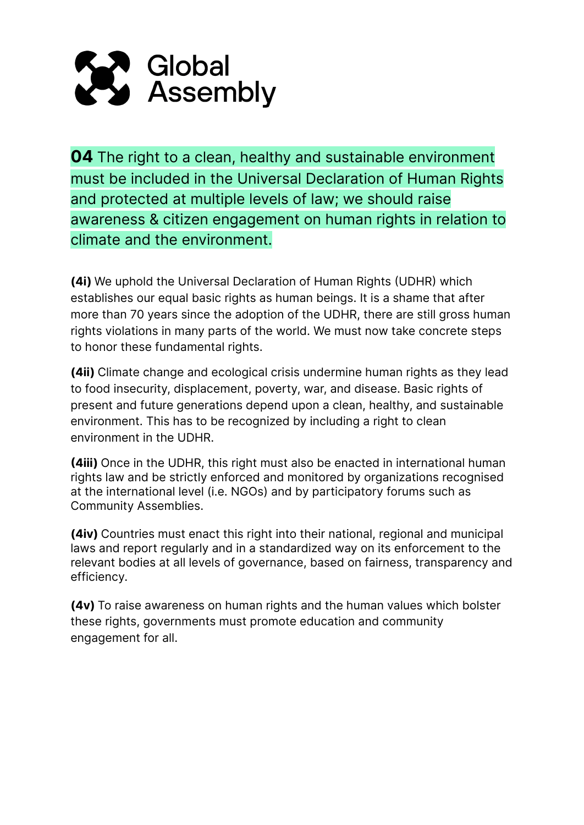

**04** The right to a clean, healthy and sustainable environment must be included in the Universal Declaration of Human Rights and protected at multiple levels of law; we should raise awareness & citizen engagement on human rights in relation to climate and the environment.

**(4i)** We uphold the Universal Declaration of Human Rights (UDHR) which establishes our equal basic rights as human beings. It is a shame that after more than 70 years since the adoption of the UDHR, there are still gross human rights violations in many parts of the world. We must now take concrete steps to honor these fundamental rights.

**(4ii)** Climate change and ecological crisis undermine human rights as they lead to food insecurity, displacement, poverty, war, and disease. Basic rights of present and future generations depend upon a clean, healthy, and sustainable environment. This has to be recognized by including a right to clean environment in the UDHR.

**(4iii)** Once in the UDHR, this right must also be enacted in international human rights law and be strictly enforced and monitored by organizations recognised at the international level (i.e. NGOs) and by participatory forums such as Community Assemblies.

**(4iv)** Countries must enact this right into their national, regional and municipal laws and report regularly and in a standardized way on its enforcement to the relevant bodies at all levels of governance, based on fairness, transparency and efficiency.

**(4v)** To raise awareness on human rights and the human values which bolster these rights, governments must promote education and community engagement for all.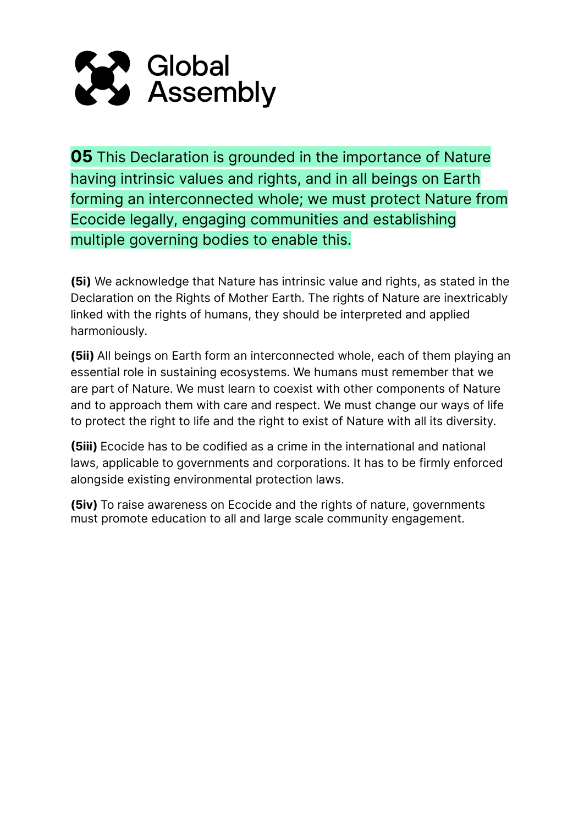

**05** This Declaration is grounded in the importance of Nature having intrinsic values and rights, and in all beings on Earth forming an interconnected whole; we must protect Nature from Ecocide legally, engaging communities and establishing multiple governing bodies to enable this.

**(5i)** We acknowledge that Nature has intrinsic value and rights, as stated in the Declaration on the Rights of Mother Earth. The rights of Nature are inextricably linked with the rights of humans, they should be interpreted and applied harmoniously.

**(5ii)** All beings on Earth form an interconnected whole, each of them playing an essential role in sustaining ecosystems. We humans must remember that we are part of Nature. We must learn to coexist with other components of Nature and to approach them with care and respect. We must change our ways of life to protect the right to life and the right to exist of Nature with all its diversity.

**(5iii)** Ecocide has to be codified as a crime in the international and national laws, applicable to governments and corporations. It has to be firmly enforced alongside existing environmental protection laws.

**(5iv)** To raise awareness on Ecocide and the rights of nature, governments must promote education to all and large scale community engagement.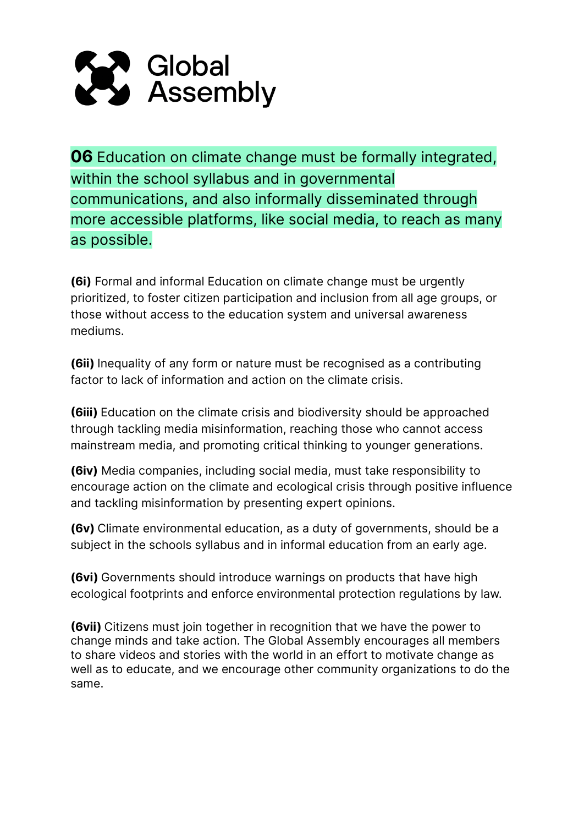

**06** Education on climate change must be formally integrated, within the school syllabus and in governmental communications, and also informally disseminated through more accessible platforms, like social media, to reach as many as possible.

**(6i)** Formal and informal Education on climate change must be urgently prioritized, to foster citizen participation and inclusion from all age groups, or those without access to the education system and universal awareness mediums.

**(6ii)** Inequality of any form or nature must be recognised as a contributing factor to lack of information and action on the climate crisis.

**(6iii)** Education on the climate crisis and biodiversity should be approached through tackling media misinformation, reaching those who cannot access mainstream media, and promoting critical thinking to younger generations.

**(6iv)** Media companies, including social media, must take responsibility to encourage action on the climate and ecological crisis through positive influence and tackling misinformation by presenting expert opinions.

**(6v)** Climate environmental education, as a duty of governments, should be a subject in the schools syllabus and in informal education from an early age.

**(6vi)** Governments should introduce warnings on products that have high ecological footprints and enforce environmental protection regulations by law.

**(6vii)** Citizens must join together in recognition that we have the power to change minds and take action. The Global Assembly encourages all members to share videos and stories with the world in an effort to motivate change as well as to educate, and we encourage other community organizations to do the same.